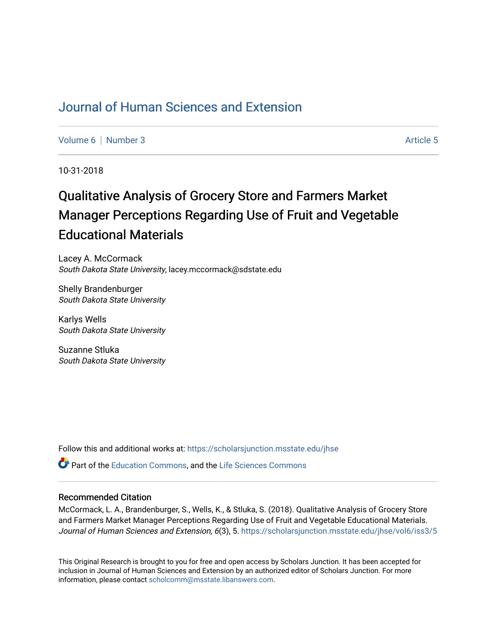## [Journal of Human Sciences and Extension](https://scholarsjunction.msstate.edu/jhse)

[Volume 6](https://scholarsjunction.msstate.edu/jhse/vol6) [Number 3](https://scholarsjunction.msstate.edu/jhse/vol6/iss3) Article 5

10-31-2018

# Qualitative Analysis of Grocery Store and Farmers Market Manager Perceptions Regarding Use of Fruit and Vegetable Educational Materials

Lacey A. McCormack South Dakota State University, lacey.mccormack@sdstate.edu

Shelly Brandenburger South Dakota State University

Karlys Wells South Dakota State University

Suzanne Stluka South Dakota State University

Follow this and additional works at: [https://scholarsjunction.msstate.edu/jhse](https://scholarsjunction.msstate.edu/jhse?utm_source=scholarsjunction.msstate.edu%2Fjhse%2Fvol6%2Fiss3%2F5&utm_medium=PDF&utm_campaign=PDFCoverPages)

**P** Part of the [Education Commons](http://network.bepress.com/hgg/discipline/784?utm_source=scholarsjunction.msstate.edu%2Fjhse%2Fvol6%2Fiss3%2F5&utm_medium=PDF&utm_campaign=PDFCoverPages), and the Life Sciences Commons

#### Recommended Citation

McCormack, L. A., Brandenburger, S., Wells, K., & Stluka, S. (2018). Qualitative Analysis of Grocery Store and Farmers Market Manager Perceptions Regarding Use of Fruit and Vegetable Educational Materials. Journal of Human Sciences and Extension, 6(3), 5. https://scholarsjunction.msstate.edu/jhse/vol6/iss3/5

This Original Research is brought to you for free and open access by Scholars Junction. It has been accepted for inclusion in Journal of Human Sciences and Extension by an authorized editor of Scholars Junction. For more information, please contact [scholcomm@msstate.libanswers.com](mailto:scholcomm@msstate.libanswers.com).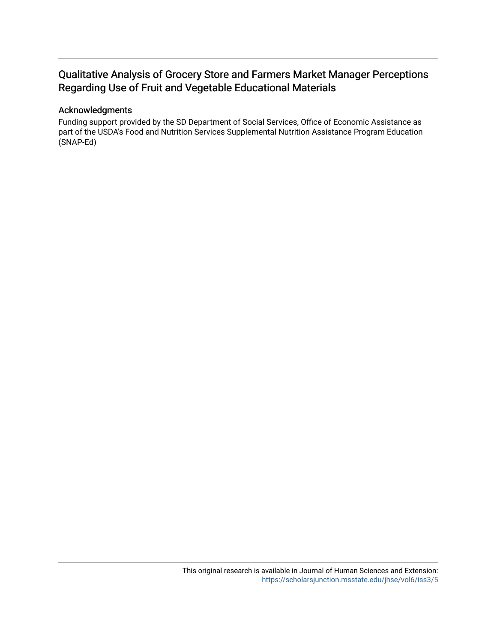## Qualitative Analysis of Grocery Store and Farmers Market Manager Perceptions Regarding Use of Fruit and Vegetable Educational Materials

#### Acknowledgments

Funding support provided by the SD Department of Social Services, Office of Economic Assistance as part of the USDA's Food and Nutrition Services Supplemental Nutrition Assistance Program Education (SNAP-Ed)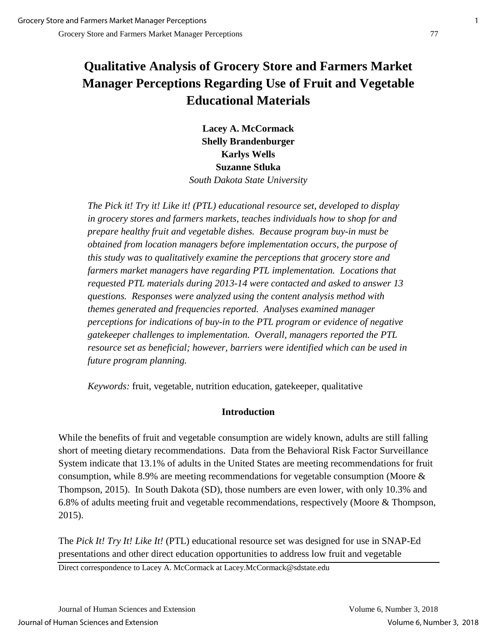# **Qualitative Analysis of Grocery Store and Farmers Market Manager Perceptions Regarding Use of Fruit and Vegetable Educational Materials**

**Lacey A. McCormack Shelly Brandenburger Karlys Wells Suzanne Stluka**  *South Dakota State University*

*The Pick it! Try it! Like it! (PTL) educational resource set, developed to display in grocery stores and farmers markets, teaches individuals how to shop for and prepare healthy fruit and vegetable dishes. Because program buy-in must be obtained from location managers before implementation occurs, the purpose of this study was to qualitatively examine the perceptions that grocery store and farmers market managers have regarding PTL implementation. Locations that requested PTL materials during 2013-14 were contacted and asked to answer 13 questions. Responses were analyzed using the content analysis method with themes generated and frequencies reported. Analyses examined manager perceptions for indications of buy-in to the PTL program or evidence of negative gatekeeper challenges to implementation. Overall, managers reported the PTL resource set as beneficial; however, barriers were identified which can be used in future program planning.*

*Keywords:* fruit, vegetable, nutrition education, gatekeeper, qualitative

## **Introduction**

While the benefits of fruit and vegetable consumption are widely known, adults are still falling short of meeting dietary recommendations. Data from the Behavioral Risk Factor Surveillance System indicate that 13.1% of adults in the United States are meeting recommendations for fruit consumption, while 8.9% are meeting recommendations for vegetable consumption (Moore & Thompson, 2015). In South Dakota (SD), those numbers are even lower, with only 10.3% and 6.8% of adults meeting fruit and vegetable recommendations, respectively (Moore & Thompson, 2015).

The *Pick It! Try It! Like It!* (PTL) educational resource set was designed for use in SNAP-Ed presentations and other direct education opportunities to address low fruit and vegetable

Direct correspondence to Lacey A. McCormack at Lacey.McCormack@sdstate.edu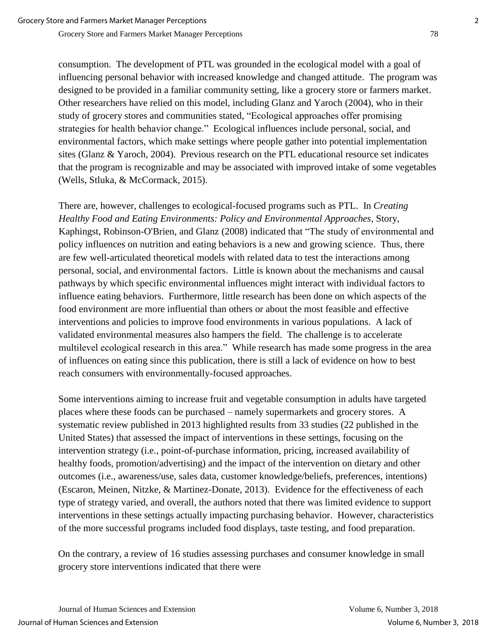consumption. The development of PTL was grounded in the ecological model with a goal of influencing personal behavior with increased knowledge and changed attitude. The program was designed to be provided in a familiar community setting, like a grocery store or farmers market. Other researchers have relied on this model, including Glanz and Yaroch (2004), who in their study of grocery stores and communities stated, "Ecological approaches offer promising strategies for health behavior change." Ecological influences include personal, social, and environmental factors, which make settings where people gather into potential implementation sites (Glanz & Yaroch, 2004). Previous research on the PTL educational resource set indicates that the program is recognizable and may be associated with improved intake of some vegetables (Wells, Stluka, & McCormack, 2015).

There are, however, challenges to ecological-focused programs such as PTL. In *Creating Healthy Food and Eating Environments: Policy and Environmental Approaches*, Story, Kaphingst, Robinson-O'Brien, and Glanz (2008) indicated that "The study of environmental and policy influences on nutrition and eating behaviors is a new and growing science. Thus, there are few well-articulated theoretical models with related data to test the interactions among personal, social, and environmental factors. Little is known about the mechanisms and causal pathways by which specific environmental influences might interact with individual factors to influence eating behaviors. Furthermore, little research has been done on which aspects of the food environment are more influential than others or about the most feasible and effective interventions and policies to improve food environments in various populations. A lack of validated environmental measures also hampers the field. The challenge is to accelerate multilevel ecological research in this area." While research has made some progress in the area of influences on eating since this publication, there is still a lack of evidence on how to best reach consumers with environmentally-focused approaches.

Some interventions aiming to increase fruit and vegetable consumption in adults have targeted places where these foods can be purchased – namely supermarkets and grocery stores. A systematic review published in 2013 highlighted results from 33 studies (22 published in the United States) that assessed the impact of interventions in these settings, focusing on the intervention strategy (i.e., point-of-purchase information, pricing, increased availability of healthy foods, promotion/advertising) and the impact of the intervention on dietary and other outcomes (i.e., awareness/use, sales data, customer knowledge/beliefs, preferences, intentions) (Escaron, Meinen, Nitzke, & Martinez-Donate, 2013). Evidence for the effectiveness of each type of strategy varied, and overall, the authors noted that there was limited evidence to support interventions in these settings actually impacting purchasing behavior. However, characteristics of the more successful programs included food displays, taste testing, and food preparation.

On the contrary, a review of 16 studies assessing purchases and consumer knowledge in small grocery store interventions indicated that there were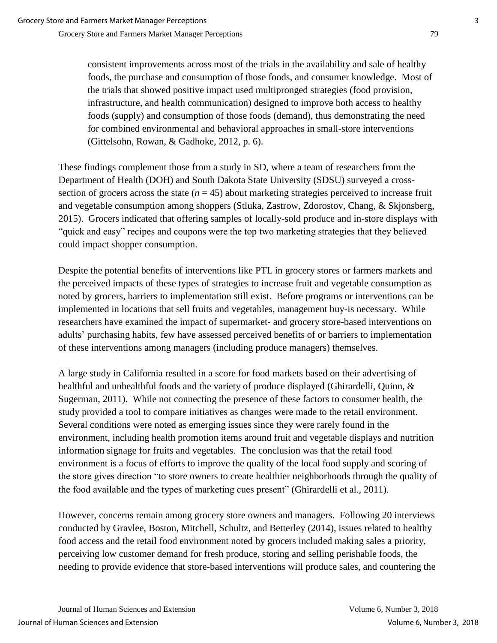consistent improvements across most of the trials in the availability and sale of healthy foods, the purchase and consumption of those foods, and consumer knowledge. Most of the trials that showed positive impact used multipronged strategies (food provision, infrastructure, and health communication) designed to improve both access to healthy foods (supply) and consumption of those foods (demand), thus demonstrating the need for combined environmental and behavioral approaches in small-store interventions (Gittelsohn, Rowan, & Gadhoke, 2012, p. 6).

These findings complement those from a study in SD, where a team of researchers from the Department of Health (DOH) and South Dakota State University (SDSU) surveyed a crosssection of grocers across the state  $(n = 45)$  about marketing strategies perceived to increase fruit and vegetable consumption among shoppers (Stluka, Zastrow, Zdorostov, Chang, & Skjonsberg, 2015). Grocers indicated that offering samples of locally-sold produce and in-store displays with "quick and easy" recipes and coupons were the top two marketing strategies that they believed could impact shopper consumption.

Despite the potential benefits of interventions like PTL in grocery stores or farmers markets and the perceived impacts of these types of strategies to increase fruit and vegetable consumption as noted by grocers, barriers to implementation still exist. Before programs or interventions can be implemented in locations that sell fruits and vegetables, management buy-is necessary. While researchers have examined the impact of supermarket- and grocery store-based interventions on adults' purchasing habits, few have assessed perceived benefits of or barriers to implementation of these interventions among managers (including produce managers) themselves.

A large study in California resulted in a score for food markets based on their advertising of healthful and unhealthful foods and the variety of produce displayed (Ghirardelli, Quinn, & Sugerman, 2011). While not connecting the presence of these factors to consumer health, the study provided a tool to compare initiatives as changes were made to the retail environment. Several conditions were noted as emerging issues since they were rarely found in the environment, including health promotion items around fruit and vegetable displays and nutrition information signage for fruits and vegetables. The conclusion was that the retail food environment is a focus of efforts to improve the quality of the local food supply and scoring of the store gives direction "to store owners to create healthier neighborhoods through the quality of the food available and the types of marketing cues present" (Ghirardelli et al., 2011).

However, concerns remain among grocery store owners and managers. Following 20 interviews conducted by Gravlee, Boston, Mitchell, Schultz, and Betterley (2014), issues related to healthy food access and the retail food environment noted by grocers included making sales a priority, perceiving low customer demand for fresh produce, storing and selling perishable foods, the needing to provide evidence that store-based interventions will produce sales, and countering the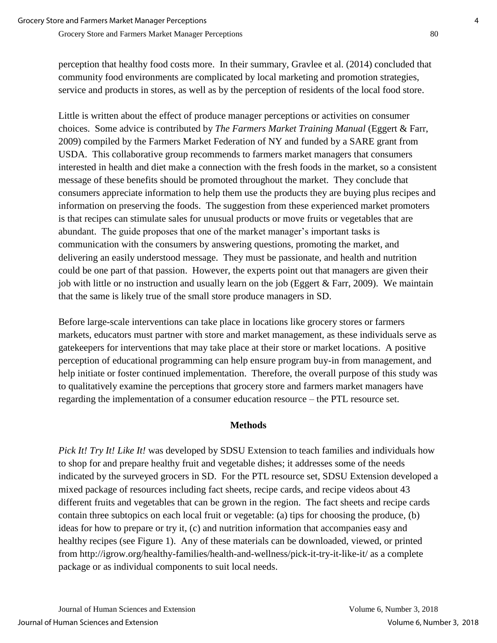perception that healthy food costs more. In their summary, Gravlee et al. (2014) concluded that community food environments are complicated by local marketing and promotion strategies, service and products in stores, as well as by the perception of residents of the local food store.

Little is written about the effect of produce manager perceptions or activities on consumer choices. Some advice is contributed by *The Farmers Market Training Manual* (Eggert & Farr, 2009) compiled by the Farmers Market Federation of NY and funded by a SARE grant from USDA. This collaborative group recommends to farmers market managers that consumers interested in health and diet make a connection with the fresh foods in the market, so a consistent message of these benefits should be promoted throughout the market. They conclude that consumers appreciate information to help them use the products they are buying plus recipes and information on preserving the foods. The suggestion from these experienced market promoters is that recipes can stimulate sales for unusual products or move fruits or vegetables that are abundant. The guide proposes that one of the market manager's important tasks is communication with the consumers by answering questions, promoting the market, and delivering an easily understood message. They must be passionate, and health and nutrition could be one part of that passion. However, the experts point out that managers are given their job with little or no instruction and usually learn on the job (Eggert & Farr, 2009). We maintain that the same is likely true of the small store produce managers in SD.

Before large-scale interventions can take place in locations like grocery stores or farmers markets, educators must partner with store and market management, as these individuals serve as gatekeepers for interventions that may take place at their store or market locations. A positive perception of educational programming can help ensure program buy-in from management, and help initiate or foster continued implementation. Therefore, the overall purpose of this study was to qualitatively examine the perceptions that grocery store and farmers market managers have regarding the implementation of a consumer education resource – the PTL resource set.

#### **Methods**

*Pick It! Try It! Like It!* was developed by SDSU Extension to teach families and individuals how to shop for and prepare healthy fruit and vegetable dishes; it addresses some of the needs indicated by the surveyed grocers in SD. For the PTL resource set, SDSU Extension developed a mixed package of resources including fact sheets, recipe cards, and recipe videos about 43 different fruits and vegetables that can be grown in the region. The fact sheets and recipe cards contain three subtopics on each local fruit or vegetable: (a) tips for choosing the produce, (b) ideas for how to prepare or try it, (c) and nutrition information that accompanies easy and healthy recipes (see Figure 1). Any of these materials can be downloaded, viewed, or printed from http://igrow.org/healthy-families/health-and-wellness/pick-it-try-it-like-it/ as a complete package or as individual components to suit local needs.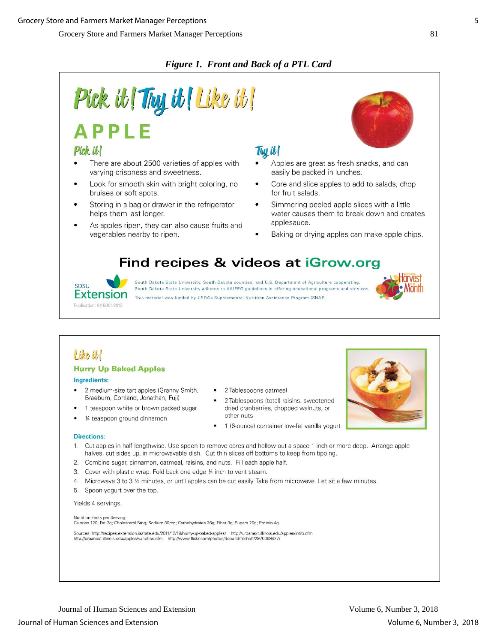## *Figure 1. Front and Back of a PTL Card*



## Pick it!

- There are about 2500 varieties of apples with varying crispness and sweetness.
- Look for smooth skin with bright coloring, no bruises or soft spots.
- Storing in a bag or drawer in the refrigerator helps them last longer.
- As apples ripen, they can also cause fruits and vegetables nearby to ripen.



## Thu it!

- Apples are great as fresh snacks, and can easily be packed in lunches.
- Core and slice apples to add to salads, chop for fruit salads.
- Simmering peeled apple slices with a little water causes them to break down and creates applesauce.
- Baking or drying apples can make apple chips.

# Find recipes & videos at iGrow.org



South Dakota State University, South Dakota counties, and U.S. Department of Agriculture cooperating South Dakota State University adheres to AA/EEO guidelines in offering educational programs and services This material was funded by USDA's Supplemental Nutrition Assistance Program (SNAP)



## Like it

#### **Hurry Up Baked Apples**

#### Ingredients:

- 2 medium-size tart apples (Granny Smith, Braeburn, Cortland, Jonathan, Fuji)
- 1 teaspoon white or brown packed sugar
- 1/4 teaspoon ground cinnamon
- 2 Tablespoons oatmeal
- 2 Tablespoons (total) raisins, sweetened dried cranberries, chopped walnuts, or other nuts
- 1 (6-ounce) container low-fat vanilla yogurt

#### **Directions:**

- Cut apples in half lengthwise. Use spoon to remove cores and hollow out a space 1 inch or more deep. Arrange apple  $1.$ halves, cut sides up, in microwavable dish. Cut thin slices off bottoms to keep from tipping.
- 2. Combine sugar, cinnamon, oatmeal, raisins, and nuts. Fill each apple half.
- 3. Cover with plastic wrap. Fold back one edge 1/4 inch to vent steam.
- 4. Microwave 3 to 3 1/2 minutes, or until apples can be cut easily. Take from microwave. Let sit a few minutes.
- 5. Spoon yogurt over the top.

#### Yields 4 servings.

Nutrition Facts per Serving: Calories 120; Fat 2g; Cholesterol 5mg; Sodium 30mg; Carbohydrates 26g; Fiber 3g; Sugars 20g; Protein 4g

Sources: http://recipes.extension.iastate.edu/2011/12/19/hurry-up-baked-apples/ http://urbanext.illinois.edu/apples/intro.cfm<br>http://urbanext.illinois.edu/apples/varieties.cfm http://www.flickr.com/photos/deborahfitchett/2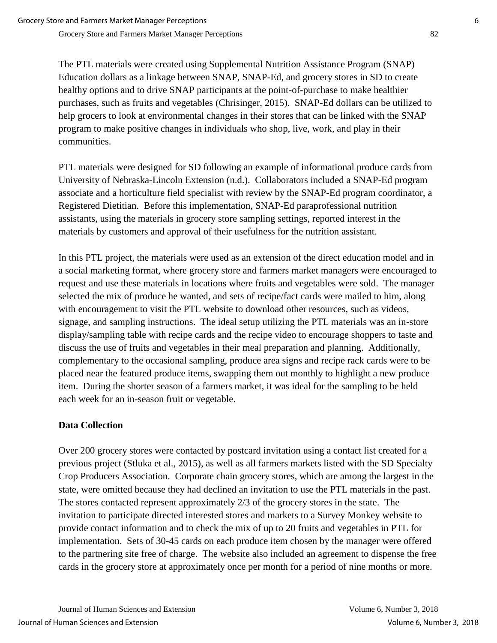The PTL materials were created using Supplemental Nutrition Assistance Program (SNAP) Education dollars as a linkage between SNAP, SNAP-Ed, and grocery stores in SD to create healthy options and to drive SNAP participants at the point-of-purchase to make healthier purchases, such as fruits and vegetables (Chrisinger, 2015). SNAP-Ed dollars can be utilized to help grocers to look at environmental changes in their stores that can be linked with the SNAP program to make positive changes in individuals who shop, live, work, and play in their communities.

PTL materials were designed for SD following an example of informational produce cards from University of Nebraska-Lincoln Extension (n.d.). Collaborators included a SNAP-Ed program associate and a horticulture field specialist with review by the SNAP-Ed program coordinator, a Registered Dietitian. Before this implementation, SNAP-Ed paraprofessional nutrition assistants, using the materials in grocery store sampling settings, reported interest in the materials by customers and approval of their usefulness for the nutrition assistant.

In this PTL project, the materials were used as an extension of the direct education model and in a social marketing format, where grocery store and farmers market managers were encouraged to request and use these materials in locations where fruits and vegetables were sold. The manager selected the mix of produce he wanted, and sets of recipe/fact cards were mailed to him, along with encouragement to visit the PTL website to download other resources, such as videos, signage, and sampling instructions. The ideal setup utilizing the PTL materials was an in-store display/sampling table with recipe cards and the recipe video to encourage shoppers to taste and discuss the use of fruits and vegetables in their meal preparation and planning. Additionally, complementary to the occasional sampling, produce area signs and recipe rack cards were to be placed near the featured produce items, swapping them out monthly to highlight a new produce item. During the shorter season of a farmers market, it was ideal for the sampling to be held each week for an in-season fruit or vegetable.

## **Data Collection**

Over 200 grocery stores were contacted by postcard invitation using a contact list created for a previous project (Stluka et al., 2015), as well as all farmers markets listed with the SD Specialty Crop Producers Association. Corporate chain grocery stores, which are among the largest in the state, were omitted because they had declined an invitation to use the PTL materials in the past. The stores contacted represent approximately 2/3 of the grocery stores in the state. The invitation to participate directed interested stores and markets to a Survey Monkey website to provide contact information and to check the mix of up to 20 fruits and vegetables in PTL for implementation. Sets of 30-45 cards on each produce item chosen by the manager were offered to the partnering site free of charge. The website also included an agreement to dispense the free cards in the grocery store at approximately once per month for a period of nine months or more.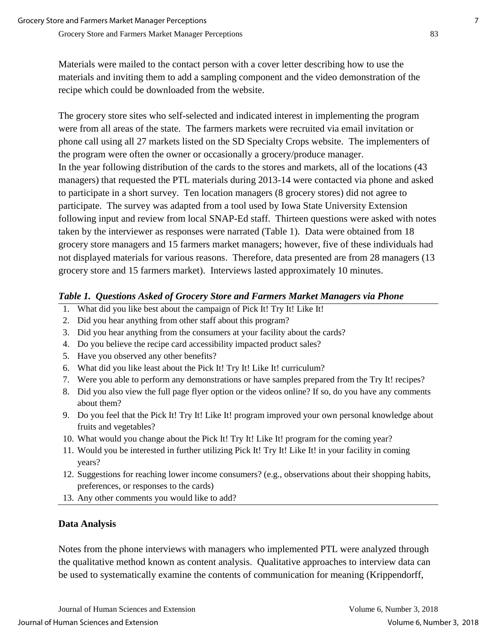Materials were mailed to the contact person with a cover letter describing how to use the materials and inviting them to add a sampling component and the video demonstration of the recipe which could be downloaded from the website.

The grocery store sites who self-selected and indicated interest in implementing the program were from all areas of the state. The farmers markets were recruited via email invitation or phone call using all 27 markets listed on the SD Specialty Crops website. The implementers of the program were often the owner or occasionally a grocery/produce manager. In the year following distribution of the cards to the stores and markets, all of the locations (43 managers) that requested the PTL materials during 2013-14 were contacted via phone and asked to participate in a short survey. Ten location managers (8 grocery stores) did not agree to participate. The survey was adapted from a tool used by Iowa State University Extension following input and review from local SNAP-Ed staff. Thirteen questions were asked with notes taken by the interviewer as responses were narrated (Table 1). Data were obtained from 18 grocery store managers and 15 farmers market managers; however, five of these individuals had not displayed materials for various reasons. Therefore, data presented are from 28 managers (13 grocery store and 15 farmers market). Interviews lasted approximately 10 minutes.

### *Table 1. Questions Asked of Grocery Store and Farmers Market Managers via Phone*

- 1. What did you like best about the campaign of Pick It! Try It! Like It!
- 2. Did you hear anything from other staff about this program?
- 3. Did you hear anything from the consumers at your facility about the cards?
- 4. Do you believe the recipe card accessibility impacted product sales?
- 5. Have you observed any other benefits?
- 6. What did you like least about the Pick It! Try It! Like It! curriculum?
- 7. Were you able to perform any demonstrations or have samples prepared from the Try It! recipes?
- 8. Did you also view the full page flyer option or the videos online? If so, do you have any comments about them?
- 9. Do you feel that the Pick It! Try It! Like It! program improved your own personal knowledge about fruits and vegetables?
- 10. What would you change about the Pick It! Try It! Like It! program for the coming year?
- 11. Would you be interested in further utilizing Pick It! Try It! Like It! in your facility in coming years?
- 12. Suggestions for reaching lower income consumers? (e.g., observations about their shopping habits, preferences, or responses to the cards)
- 13. Any other comments you would like to add?

## **Data Analysis**

Notes from the phone interviews with managers who implemented PTL were analyzed through the qualitative method known as content analysis. Qualitative approaches to interview data can be used to systematically examine the contents of communication for meaning (Krippendorff,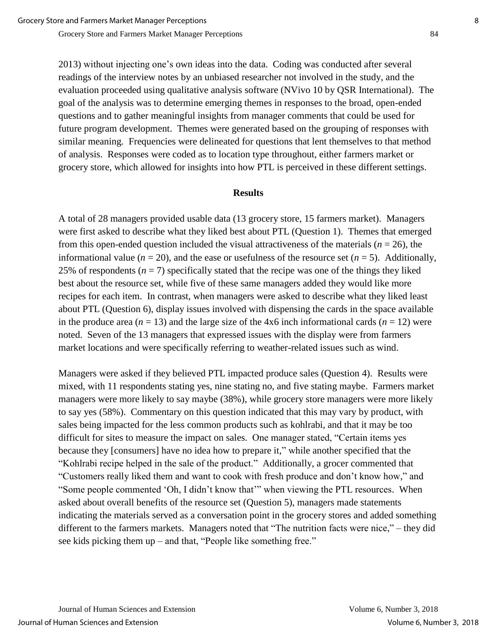2013) without injecting one's own ideas into the data. Coding was conducted after several readings of the interview notes by an unbiased researcher not involved in the study, and the evaluation proceeded using qualitative analysis software (NVivo 10 by QSR International). The goal of the analysis was to determine emerging themes in responses to the broad, open-ended questions and to gather meaningful insights from manager comments that could be used for future program development. Themes were generated based on the grouping of responses with similar meaning. Frequencies were delineated for questions that lent themselves to that method of analysis. Responses were coded as to location type throughout, either farmers market or grocery store, which allowed for insights into how PTL is perceived in these different settings.

#### **Results**

A total of 28 managers provided usable data (13 grocery store, 15 farmers market). Managers were first asked to describe what they liked best about PTL (Question 1). Themes that emerged from this open-ended question included the visual attractiveness of the materials ( $n = 26$ ), the informational value ( $n = 20$ ), and the ease or usefulness of the resource set ( $n = 5$ ). Additionally, 25% of respondents  $(n = 7)$  specifically stated that the recipe was one of the things they liked best about the resource set, while five of these same managers added they would like more recipes for each item. In contrast, when managers were asked to describe what they liked least about PTL (Question 6), display issues involved with dispensing the cards in the space available in the produce area  $(n = 13)$  and the large size of the  $4x6$  inch informational cards  $(n = 12)$  were noted. Seven of the 13 managers that expressed issues with the display were from farmers market locations and were specifically referring to weather-related issues such as wind.

Managers were asked if they believed PTL impacted produce sales (Question 4). Results were mixed, with 11 respondents stating yes, nine stating no, and five stating maybe. Farmers market managers were more likely to say maybe (38%), while grocery store managers were more likely to say yes (58%). Commentary on this question indicated that this may vary by product, with sales being impacted for the less common products such as kohlrabi, and that it may be too difficult for sites to measure the impact on sales. One manager stated, "Certain items yes because they [consumers] have no idea how to prepare it," while another specified that the "Kohlrabi recipe helped in the sale of the product." Additionally, a grocer commented that "Customers really liked them and want to cook with fresh produce and don't know how," and "Some people commented 'Oh, I didn't know that'" when viewing the PTL resources. When asked about overall benefits of the resource set (Question 5), managers made statements indicating the materials served as a conversation point in the grocery stores and added something different to the farmers markets. Managers noted that "The nutrition facts were nice," – they did see kids picking them up – and that, "People like something free."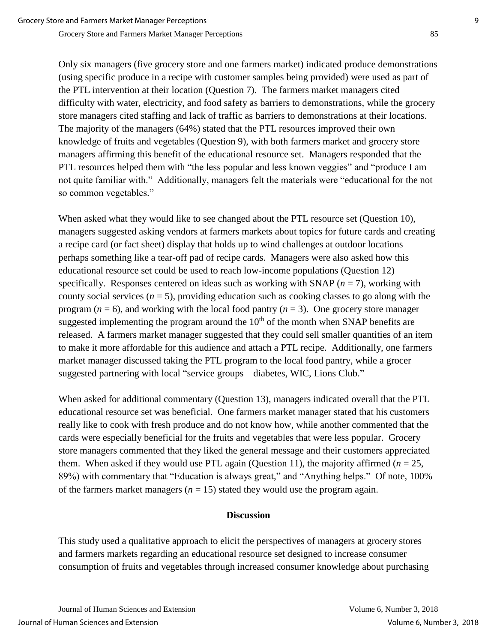Only six managers (five grocery store and one farmers market) indicated produce demonstrations (using specific produce in a recipe with customer samples being provided) were used as part of the PTL intervention at their location (Question 7). The farmers market managers cited difficulty with water, electricity, and food safety as barriers to demonstrations, while the grocery store managers cited staffing and lack of traffic as barriers to demonstrations at their locations. The majority of the managers (64%) stated that the PTL resources improved their own knowledge of fruits and vegetables (Question 9), with both farmers market and grocery store managers affirming this benefit of the educational resource set. Managers responded that the PTL resources helped them with "the less popular and less known veggies" and "produce I am not quite familiar with." Additionally, managers felt the materials were "educational for the not so common vegetables."

When asked what they would like to see changed about the PTL resource set (Question 10), managers suggested asking vendors at farmers markets about topics for future cards and creating a recipe card (or fact sheet) display that holds up to wind challenges at outdoor locations – perhaps something like a tear-off pad of recipe cards. Managers were also asked how this educational resource set could be used to reach low-income populations (Question 12) specifically. Responses centered on ideas such as working with SNAP  $(n = 7)$ , working with county social services  $(n = 5)$ , providing education such as cooking classes to go along with the program ( $n = 6$ ), and working with the local food pantry ( $n = 3$ ). One grocery store manager suggested implementing the program around the  $10<sup>th</sup>$  of the month when SNAP benefits are released. A farmers market manager suggested that they could sell smaller quantities of an item to make it more affordable for this audience and attach a PTL recipe. Additionally, one farmers market manager discussed taking the PTL program to the local food pantry, while a grocer suggested partnering with local "service groups – diabetes, WIC, Lions Club."

When asked for additional commentary (Question 13), managers indicated overall that the PTL educational resource set was beneficial. One farmers market manager stated that his customers really like to cook with fresh produce and do not know how, while another commented that the cards were especially beneficial for the fruits and vegetables that were less popular. Grocery store managers commented that they liked the general message and their customers appreciated them. When asked if they would use PTL again (Question 11), the majority affirmed  $(n = 25)$ , 89%) with commentary that "Education is always great," and "Anything helps." Of note, 100% of the farmers market managers  $(n = 15)$  stated they would use the program again.

### **Discussion**

This study used a qualitative approach to elicit the perspectives of managers at grocery stores and farmers markets regarding an educational resource set designed to increase consumer consumption of fruits and vegetables through increased consumer knowledge about purchasing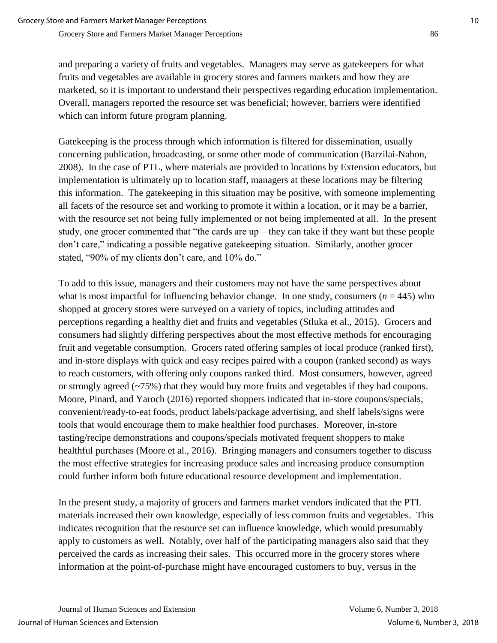and preparing a variety of fruits and vegetables. Managers may serve as gatekeepers for what fruits and vegetables are available in grocery stores and farmers markets and how they are marketed, so it is important to understand their perspectives regarding education implementation. Overall, managers reported the resource set was beneficial; however, barriers were identified which can inform future program planning.

Gatekeeping is the process through which information is filtered for dissemination, usually concerning publication, broadcasting, or some other mode of communication (Barzilai-Nahon, 2008). In the case of PTL, where materials are provided to locations by Extension educators, but implementation is ultimately up to location staff, managers at these locations may be filtering this information. The gatekeeping in this situation may be positive, with someone implementing all facets of the resource set and working to promote it within a location, or it may be a barrier, with the resource set not being fully implemented or not being implemented at all. In the present study, one grocer commented that "the cards are up – they can take if they want but these people don't care," indicating a possible negative gatekeeping situation. Similarly, another grocer stated, "90% of my clients don't care, and 10% do."

To add to this issue, managers and their customers may not have the same perspectives about what is most impactful for influencing behavior change. In one study, consumers  $(n = 445)$  who shopped at grocery stores were surveyed on a variety of topics, including attitudes and perceptions regarding a healthy diet and fruits and vegetables (Stluka et al., 2015). Grocers and consumers had slightly differing perspectives about the most effective methods for encouraging fruit and vegetable consumption. Grocers rated offering samples of local produce (ranked first), and in-store displays with quick and easy recipes paired with a coupon (ranked second) as ways to reach customers, with offering only coupons ranked third. Most consumers, however, agreed or strongly agreed (~75%) that they would buy more fruits and vegetables if they had coupons. Moore, Pinard, and Yaroch (2016) reported shoppers indicated that in-store coupons/specials, convenient/ready-to-eat foods, product labels/package advertising, and shelf labels/signs were tools that would encourage them to make healthier food purchases. Moreover, in-store tasting/recipe demonstrations and coupons/specials motivated frequent shoppers to make healthful purchases (Moore et al., 2016). Bringing managers and consumers together to discuss the most effective strategies for increasing produce sales and increasing produce consumption could further inform both future educational resource development and implementation.

In the present study, a majority of grocers and farmers market vendors indicated that the PTL materials increased their own knowledge, especially of less common fruits and vegetables. This indicates recognition that the resource set can influence knowledge, which would presumably apply to customers as well. Notably, over half of the participating managers also said that they perceived the cards as increasing their sales. This occurred more in the grocery stores where information at the point-of-purchase might have encouraged customers to buy, versus in the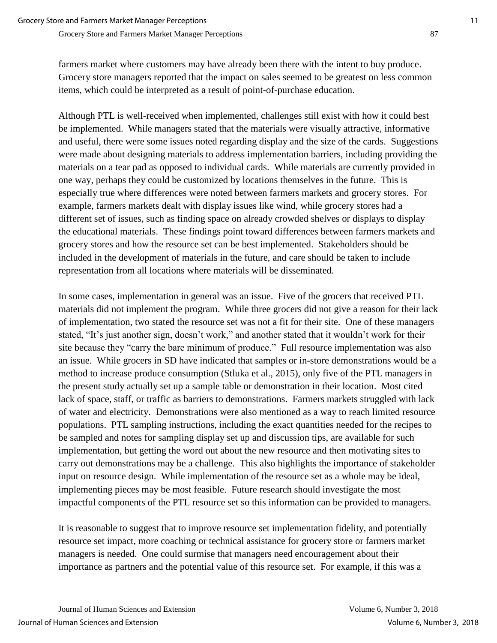farmers market where customers may have already been there with the intent to buy produce. Grocery store managers reported that the impact on sales seemed to be greatest on less common items, which could be interpreted as a result of point-of-purchase education.

Although PTL is well-received when implemented, challenges still exist with how it could best be implemented. While managers stated that the materials were visually attractive, informative and useful, there were some issues noted regarding display and the size of the cards. Suggestions were made about designing materials to address implementation barriers, including providing the materials on a tear pad as opposed to individual cards. While materials are currently provided in one way, perhaps they could be customized by locations themselves in the future. This is especially true where differences were noted between farmers markets and grocery stores. For example, farmers markets dealt with display issues like wind, while grocery stores had a different set of issues, such as finding space on already crowded shelves or displays to display the educational materials. These findings point toward differences between farmers markets and grocery stores and how the resource set can be best implemented. Stakeholders should be included in the development of materials in the future, and care should be taken to include representation from all locations where materials will be disseminated.

In some cases, implementation in general was an issue. Five of the grocers that received PTL materials did not implement the program. While three grocers did not give a reason for their lack of implementation, two stated the resource set was not a fit for their site. One of these managers stated, "It's just another sign, doesn't work," and another stated that it wouldn't work for their site because they "carry the bare minimum of produce." Full resource implementation was also an issue. While grocers in SD have indicated that samples or in-store demonstrations would be a method to increase produce consumption (Stluka et al., 2015), only five of the PTL managers in the present study actually set up a sample table or demonstration in their location. Most cited lack of space, staff, or traffic as barriers to demonstrations. Farmers markets struggled with lack of water and electricity. Demonstrations were also mentioned as a way to reach limited resource populations. PTL sampling instructions, including the exact quantities needed for the recipes to be sampled and notes for sampling display set up and discussion tips, are available for such implementation, but getting the word out about the new resource and then motivating sites to carry out demonstrations may be a challenge. This also highlights the importance of stakeholder input on resource design. While implementation of the resource set as a whole may be ideal, implementing pieces may be most feasible. Future research should investigate the most impactful components of the PTL resource set so this information can be provided to managers.

It is reasonable to suggest that to improve resource set implementation fidelity, and potentially resource set impact, more coaching or technical assistance for grocery store or farmers market managers is needed. One could surmise that managers need encouragement about their importance as partners and the potential value of this resource set. For example, if this was a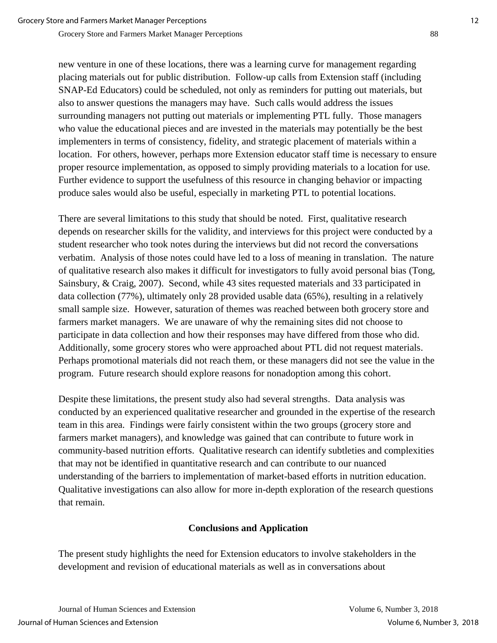new venture in one of these locations, there was a learning curve for management regarding placing materials out for public distribution. Follow-up calls from Extension staff (including SNAP-Ed Educators) could be scheduled, not only as reminders for putting out materials, but also to answer questions the managers may have. Such calls would address the issues surrounding managers not putting out materials or implementing PTL fully. Those managers who value the educational pieces and are invested in the materials may potentially be the best implementers in terms of consistency, fidelity, and strategic placement of materials within a location. For others, however, perhaps more Extension educator staff time is necessary to ensure proper resource implementation, as opposed to simply providing materials to a location for use. Further evidence to support the usefulness of this resource in changing behavior or impacting produce sales would also be useful, especially in marketing PTL to potential locations.

There are several limitations to this study that should be noted. First, qualitative research depends on researcher skills for the validity, and interviews for this project were conducted by a student researcher who took notes during the interviews but did not record the conversations verbatim. Analysis of those notes could have led to a loss of meaning in translation. The nature of qualitative research also makes it difficult for investigators to fully avoid personal bias (Tong, Sainsbury, & Craig, 2007). Second, while 43 sites requested materials and 33 participated in data collection (77%), ultimately only 28 provided usable data (65%), resulting in a relatively small sample size. However, saturation of themes was reached between both grocery store and farmers market managers. We are unaware of why the remaining sites did not choose to participate in data collection and how their responses may have differed from those who did. Additionally, some grocery stores who were approached about PTL did not request materials. Perhaps promotional materials did not reach them, or these managers did not see the value in the program. Future research should explore reasons for nonadoption among this cohort.

Despite these limitations, the present study also had several strengths. Data analysis was conducted by an experienced qualitative researcher and grounded in the expertise of the research team in this area. Findings were fairly consistent within the two groups (grocery store and farmers market managers), and knowledge was gained that can contribute to future work in community-based nutrition efforts. Qualitative research can identify subtleties and complexities that may not be identified in quantitative research and can contribute to our nuanced understanding of the barriers to implementation of market-based efforts in nutrition education. Qualitative investigations can also allow for more in-depth exploration of the research questions that remain.

### **Conclusions and Application**

The present study highlights the need for Extension educators to involve stakeholders in the development and revision of educational materials as well as in conversations about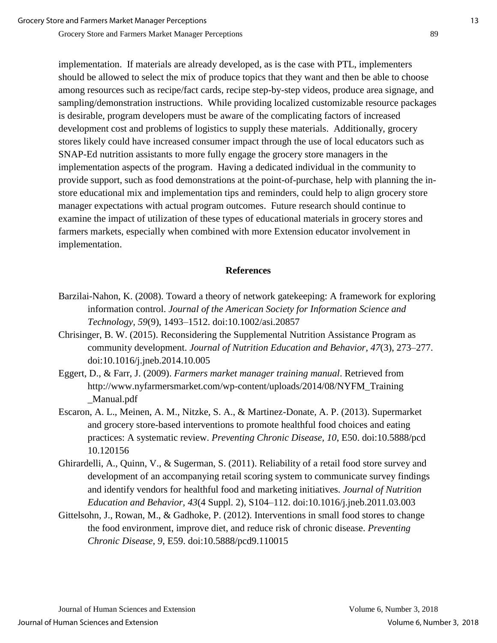implementation. If materials are already developed, as is the case with PTL, implementers should be allowed to select the mix of produce topics that they want and then be able to choose among resources such as recipe/fact cards, recipe step-by-step videos, produce area signage, and sampling/demonstration instructions. While providing localized customizable resource packages is desirable, program developers must be aware of the complicating factors of increased development cost and problems of logistics to supply these materials. Additionally, grocery stores likely could have increased consumer impact through the use of local educators such as SNAP-Ed nutrition assistants to more fully engage the grocery store managers in the implementation aspects of the program. Having a dedicated individual in the community to provide support, such as food demonstrations at the point-of-purchase, help with planning the instore educational mix and implementation tips and reminders, could help to align grocery store manager expectations with actual program outcomes. Future research should continue to examine the impact of utilization of these types of educational materials in grocery stores and farmers markets, especially when combined with more Extension educator involvement in implementation.

#### **References**

- Barzilai-Nahon, K. (2008). Toward a theory of network gatekeeping: A framework for exploring information control. *Journal of the American Society for Information Science and Technology, 59*(9), 1493–1512. doi:10.1002/asi.20857
- Chrisinger, B. W. (2015). Reconsidering the Supplemental Nutrition Assistance Program as community development. *Journal of Nutrition Education and Behavior, 47*(3), 273–277. doi:10.1016/j.jneb.2014.10.005
- Eggert, D., & Farr, J. (2009). *Farmers market manager training manual*. Retrieved from http://www.nyfarmersmarket.com/wp-content/uploads/2014/08/NYFM\_Training \_Manual.pdf
- Escaron, A. L., Meinen, A. M., Nitzke, S. A., & Martinez-Donate, A. P. (2013). Supermarket and grocery store-based interventions to promote healthful food choices and eating practices: A systematic review. *Preventing Chronic Disease, 10*, E50. doi:10.5888/pcd 10.120156
- Ghirardelli, A., Quinn, V., & Sugerman, S. (2011). Reliability of a retail food store survey and development of an accompanying retail scoring system to communicate survey findings and identify vendors for healthful food and marketing initiatives. *Journal of Nutrition Education and Behavior, 43*(4 Suppl. 2), S104–112. doi:10.1016/j.jneb.2011.03.003
- Gittelsohn, J., Rowan, M., & Gadhoke, P. (2012). Interventions in small food stores to change the food environment, improve diet, and reduce risk of chronic disease. *Preventing Chronic Disease, 9*, E59. doi:10.5888/pcd9.110015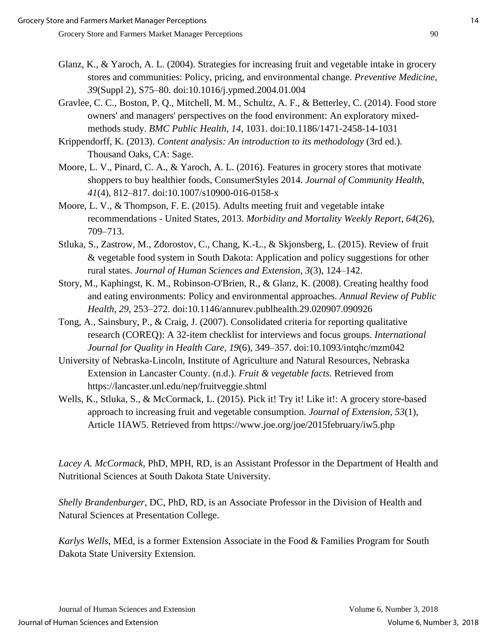- Glanz, K., & Yaroch, A. L. (2004). Strategies for increasing fruit and vegetable intake in grocery stores and communities: Policy, pricing, and environmental change. *Preventive Medicine, 39*(Suppl 2), S75–80. doi:10.1016/j.ypmed.2004.01.004
- Gravlee, C. C., Boston, P. Q., Mitchell, M. M., Schultz, A. F., & Betterley, C. (2014). Food store owners' and managers' perspectives on the food environment: An exploratory mixedmethods study. *BMC Public Health, 14*, 1031. doi:10.1186/1471-2458-14-1031
- Krippendorff, K. (2013). *Content analysis: An introduction to its methodology* (3rd ed.). Thousand Oaks, CA: Sage.
- Moore, L. V., Pinard, C. A., & Yaroch, A. L. (2016). Features in grocery stores that motivate shoppers to buy healthier foods, ConsumerStyles 2014. *Journal of Community Health*, *41*(4), 812–817. doi:10.1007/s10900-016-0158-x
- Moore, L. V., & Thompson, F. E. (2015). Adults meeting fruit and vegetable intake recommendations - United States, 2013. *Morbidity and Mortality Weekly Report, 64*(26), 709–713.
- Stluka, S., Zastrow, M., Zdorostov, C., Chang, K.-L., & Skjonsberg, L. (2015). Review of fruit & vegetable food system in South Dakota: Application and policy suggestions for other rural states. *Journal of Human Sciences and Extension, 3*(3), 124–142.
- Story, M., Kaphingst, K. M., Robinson-O'Brien, R., & Glanz, K. (2008). Creating healthy food and eating environments: Policy and environmental approaches. *Annual Review of Public Health, 29*, 253–272. doi:10.1146/annurev.publhealth.29.020907.090926
- Tong, A., Sainsbury, P., & Craig, J. (2007). Consolidated criteria for reporting qualitative research (COREQ): A 32-item checklist for interviews and focus groups. *International Journal for Quality in Health Care, 19*(6), 349–357. doi:10.1093/intqhc/mzm042
- University of Nebraska-Lincoln, Institute of Agriculture and Natural Resources, Nebraska Extension in Lancaster County. (n.d.). *Fruit & vegetable facts.* Retrieved from https://lancaster.unl.edu/nep/fruitveggie.shtml
- Wells, K., Stluka, S., & McCormack, L. (2015). Pick it! Try it! Like it!: A grocery store-based approach to increasing fruit and vegetable consumption. *Journal of Extension, 53*(1), Article 1IAW5. Retrieved from https://www.joe.org/joe/2015february/iw5.php

*Lacey A. McCormack*, PhD, MPH, RD, is an Assistant Professor in the Department of Health and Nutritional Sciences at South Dakota State University.

*Shelly Brandenburger*, DC, PhD, RD, is an Associate Professor in the Division of Health and Natural Sciences at Presentation College.

*Karlys Wells*, MEd, is a former Extension Associate in the Food & Families Program for South Dakota State University Extension.